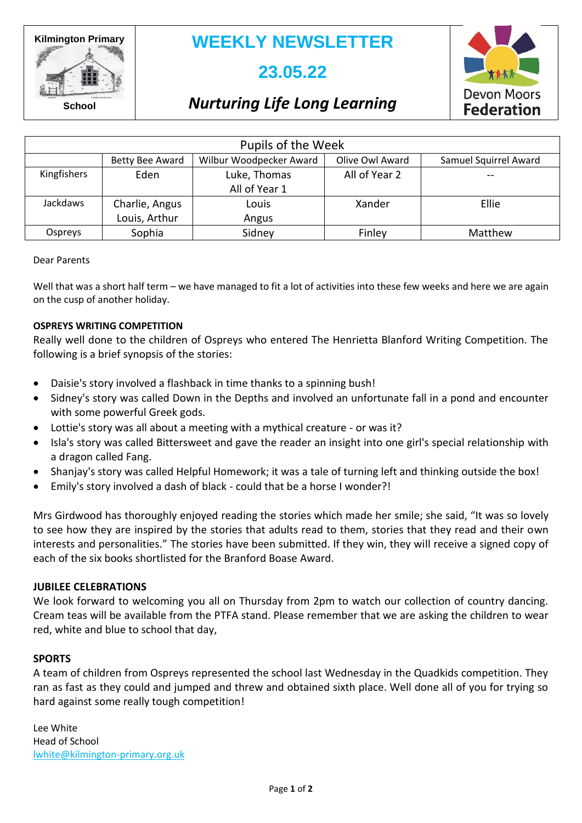**Kilmington Primary**

**WEEKLY NEWSLETTER**

# **23.05.22**



**School**

### *Nurturing Life Long Learning*

| Pupils of the Week |                                 |                               |                 |                       |  |
|--------------------|---------------------------------|-------------------------------|-----------------|-----------------------|--|
|                    | Betty Bee Award                 | Wilbur Woodpecker Award       | Olive Owl Award | Samuel Squirrel Award |  |
| Kingfishers        | Eden                            | Luke, Thomas<br>All of Year 1 | All of Year 2   |                       |  |
| <b>Jackdaws</b>    | Charlie, Angus<br>Louis, Arthur | Louis<br>Angus                | Xander          | Ellie                 |  |
| Ospreys            | Sophia                          | Sidney                        | Finley          | Matthew               |  |

#### Dear Parents

Well that was a short half term – we have managed to fit a lot of activities into these few weeks and here we are again on the cusp of another holiday.

### **OSPREYS WRITING COMPETITION**

Really well done to the children of Ospreys who entered The Henrietta Blanford Writing Competition. The following is a brief synopsis of the stories:

- Daisie's story involved a flashback in time thanks to a spinning bush!
- Sidney's story was called Down in the Depths and involved an unfortunate fall in a pond and encounter with some powerful Greek gods.
- Lottie's story was all about a meeting with a mythical creature or was it?
- Isla's story was called Bittersweet and gave the reader an insight into one girl's special relationship with a dragon called Fang.
- Shanjay's story was called Helpful Homework; it was a tale of turning left and thinking outside the box!
- Emily's story involved a dash of black could that be a horse I wonder?!

Mrs Girdwood has thoroughly enjoyed reading the stories which made her smile; she said, "It was so lovely to see how they are inspired by the stories that adults read to them, stories that they read and their own interests and personalities." The stories have been submitted. If they win, they will receive a signed copy of each of the six books shortlisted for the Branford Boase Award.

### **JUBILEE CELEBRATIONS**

We look forward to welcoming you all on Thursday from 2pm to watch our collection of country dancing. Cream teas will be available from the PTFA stand. Please remember that we are asking the children to wear red, white and blue to school that day,

### **SPORTS**

A team of children from Ospreys represented the school last Wednesday in the Quadkids competition. They ran as fast as they could and jumped and threw and obtained sixth place. Well done all of you for trying so hard against some really tough competition!

Lee White Head of School [lwhite@kilmington-primary.org.uk](mailto:lwhite@kilmington-primary.org.uk)